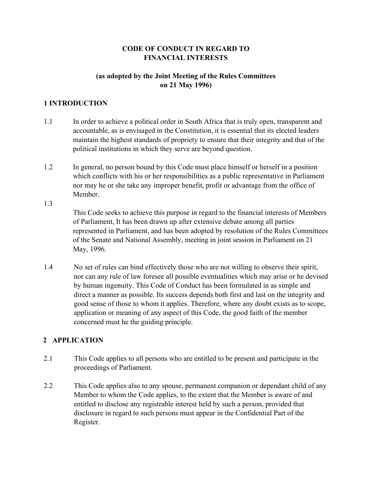# **CODE OF CONDUCT IN REGARD TO FINANCIAL INTERESTS**

# **(as adopted by the Joint Meeting of the Rules Committees on 21 May 1996)**

# **1 INTRODUCTION**

1.3

- 1.1 In order to achieve a political order in South Africa that is truly open, transparent and accountable, as is envisaged in the Constitution, it is essential that its elected leaders maintain the highest standards of propriety to ensure that their integrity and that of the political institutions in which they serve are beyond question.
- 1.2 In general, no person bound by this Code must place himself or herself in a position which conflicts with his or her responsibilities as a public representative in Parliament nor may he or she take any improper benefit, profit or advantage from the office of **Member** 
	- This Code seeks to achieve this purpose in regard to the financial interests of Members of Parliament, It has been drawn up after extensive debate among all parties represented in Parliament, and has been adopted by resolution of the Rules Committees of the Senate and National Assembly, meeting in joint session in Parliament on 21 May, 1996.
- 1.4 No set of rules can bind effectively those who are not willing to observe their spirit, nor can any rule of law foresee all possible eventualities which may arise or he devised by human ingenuity. This Code of Conduct has been formulated in as simple and direct a manner as possible. Its success depends both first and last on the integrity and good sense of those to whom it applies. Therefore, where any doubt exists as to scope, application or meaning of any aspect of this Code, the good faith of the member concerned must he the guiding principle.

# **2 APPLICATION**

- 2.1 This Code applies to all persons who are entitled to be present and participate in the proceedings of Parliament.
- 2.2 This Code applies also to any spouse, permanent companion or dependant child of any Member to whom the Code applies, to the extent that the Member is aware of and entitled to disclose any registrable interest held by such a person, provided that disclosure in regard to such persons must appear in the Confidential Part of the Register.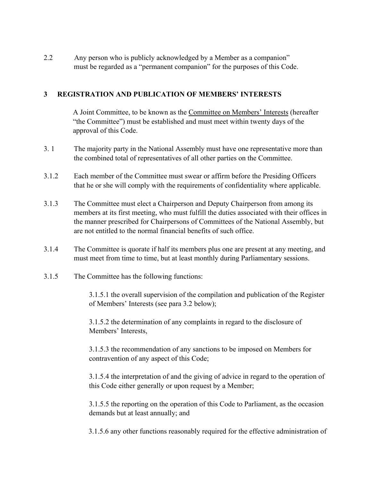2.2 Any person who is publicly acknowledged by a Member as a companion" must be regarded as a "permanent companion" for the purposes of this Code.

#### **3 REGISTRATION AND PUBLICATION OF MEMBERS' INTERESTS**

A Joint Committee, to be known as the Committee on Members' Interests (hereafter "the Committee") must be established and must meet within twenty days of the approval of this Code.

- 3. 1 The majority party in the National Assembly must have one representative more than the combined total of representatives of all other parties on the Committee.
- 3.1.2 Each member of the Committee must swear or affirm before the Presiding Officers that he or she will comply with the requirements of confidentiality where applicable.
- 3.1.3 The Committee must elect a Chairperson and Deputy Chairperson from among its members at its first meeting, who must fulfill the duties associated with their offices in the manner prescribed for Chairpersons of Committees of the National Assembly, but are not entitled to the normal financial benefits of such office.
- 3.1.4 The Committee is quorate if half its members plus one are present at any meeting, and must meet from time to time, but at least monthly during Parliamentary sessions.
- 3.1.5 The Committee has the following functions:

3.1.5.1 the overall supervision of the compilation and publication of the Register of Members' Interests (see para 3.2 below);

3.1.5.2 the determination of any complaints in regard to the disclosure of Members' Interests,

 3.1.5.3 the recommendation of any sanctions to be imposed on Members for contravention of any aspect of this Code;

3.1.5.4 the interpretation of and the giving of advice in regard to the operation of this Code either generally or upon request by a Member;

3.1.5.5 the reporting on the operation of this Code to Parliament, as the occasion demands but at least annually; and

3.1.5.6 any other functions reasonably required for the effective administration of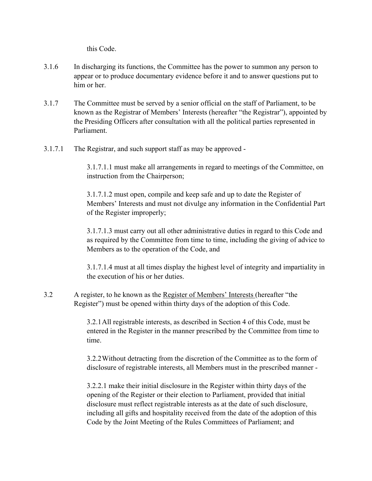this Code.

- 3.1.6 In discharging its functions, the Committee has the power to summon any person to appear or to produce documentary evidence before it and to answer questions put to him or her
- 3.1.7 The Committee must be served by a senior official on the staff of Parliament, to be known as the Registrar of Members' Interests (hereafter "the Registrar"), appointed by the Presiding Officers after consultation with all the political parties represented in Parliament.
- 3.1.7.1 The Registrar, and such support staff as may be approved -

 3.1.7.1.1 must make all arrangements in regard to meetings of the Committee, on instruction from the Chairperson;

 3.1.7.1.2 must open, compile and keep safe and up to date the Register of Members' Interests and must not divulge any information in the Confidential Part of the Register improperly;

3.1.7.1.3 must carry out all other administrative duties in regard to this Code and as required by the Committee from time to time, including the giving of advice to Members as to the operation of the Code, and

3.1.7.1.4 must at all times display the highest level of integrity and impartiality in the execution of his or her duties.

3.2 A register, to he known as the Register of Members' Interests (hereafter "the Register") must be opened within thirty days of the adoption of this Code.

> 3.2.1 All registrable interests, as described in Section 4 of this Code, must be entered in the Register in the manner prescribed by the Committee from time to time.

> 3.2.2 Without detracting from the discretion of the Committee as to the form of disclosure of registrable interests, all Members must in the prescribed manner -

> 3.2.2.1 make their initial disclosure in the Register within thirty days of the opening of the Register or their election to Parliament, provided that initial disclosure must reflect registrable interests as at the date of such disclosure, including all gifts and hospitality received from the date of the adoption of this Code by the Joint Meeting of the Rules Committees of Parliament; and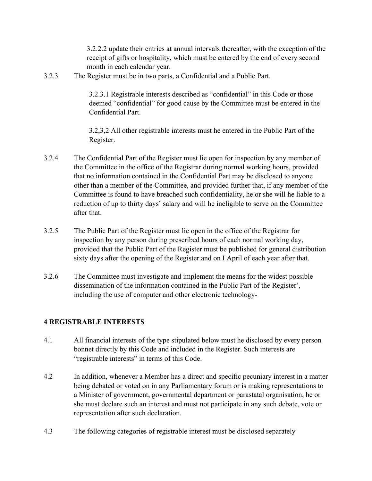3.2.2.2 update their entries at annual intervals thereafter, with the exception of the receipt of gifts or hospitality, which must be entered by the end of every second month in each calendar year.

3.2.3 The Register must be in two parts, a Confidential and a Public Part.

3.2.3.1 Registrable interests described as "confidential" in this Code or those deemed "confidential" for good cause by the Committee must be entered in the Confidential Part.

3.2,3,2 All other registrable interests must he entered in the Public Part of the Register.

- 3.2.4 The Confidential Part of the Register must lie open for inspection by any member of the Committee in the office of the Registrar during normal working hours, provided that no information contained in the Confidential Part may be disclosed to anyone other than a member of the Committee, and provided further that, if any member of the Committee is found to have breached such confidentiality, he or she will he liable to a reduction of up to thirty days' salary and will he ineligible to serve on the Committee after that.
- 3.2.5 The Public Part of the Register must lie open in the office of the Registrar for inspection by any person during prescribed hours of each normal working day, provided that the Public Part of the Register must be published for general distribution sixty days after the opening of the Register and on I April of each year after that.
- 3.2.6 The Committee must investigate and implement the means for the widest possible dissemination of the information contained in the Public Part of the Register', including the use of computer and other electronic technology-

## **4 REGISTRABLE INTERESTS**

- 4.1 All financial interests of the type stipulated below must he disclosed by every person bonnet directly by this Code and included in the Register. Such interests are "registrable interests" in terms of this Code.
- 4.2 In addition, whenever a Member has a direct and specific pecuniary interest in a matter being debated or voted on in any Parliamentary forum or is making representations to a Minister of government, governmental department or parastatal organisation, he or she must declare such an interest and must not participate in any such debate, vote or representation after such declaration.
- 4.3 The following categories of registrable interest must be disclosed separately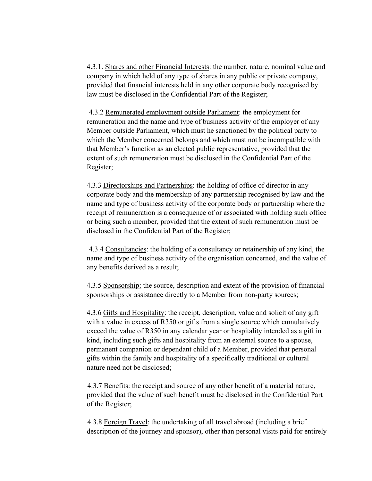4.3.1. Shares and other Financial Interests: the number, nature, nominal value and company in which held of any type of shares in any public or private company, provided that financial interests held in any other corporate body recognised by law must be disclosed in the Confidential Part of the Register;

4.3.2 Remunerated employment outside Parliament: the employment for remuneration and the name and type of business activity of the employer of any Member outside Parliament, which must he sanctioned by the political party to which the Member concerned belongs and which must not be incompatible with that Member's function as an elected public representative, provided that the extent of such remuneration must be disclosed in the Confidential Part of the Register;

4.3.3 Directorships and Partnerships: the holding of office of director in any corporate body and the membership of any partnership recognised by law and the name and type of business activity of the corporate body or partnership where the receipt of remuneration is a consequence of or associated with holding such office or being such a member, provided that the extent of such remuneration must be disclosed in the Confidential Part of the Register;

 4.3.4 Consultancies: the holding of a consultancy or retainership of any kind, the name and type of business activity of the organisation concerned, and the value of any benefits derived as a result;

 4.3.5 Sponsorship: the source, description and extent of the provision of financial sponsorships or assistance directly to a Member from non-party sources;

 4.3.6 Gifts and Hospitality: the receipt, description, value and solicit of any gift with a value in excess of R350 or gifts from a single source which cumulatively exceed the value of R350 in any calendar year or hospitality intended as a gift in kind, including such gifts and hospitality from an external source to a spouse, permanent companion or dependant child of a Member, provided that personal gifts within the family and hospitality of a specifically traditional or cultural nature need not be disclosed;

 4.3.7 Benefits: the receipt and source of any other benefit of a material nature, provided that the value of such benefit must be disclosed in the Confidential Part of the Register;

 4.3.8 Foreign Travel: the undertaking of all travel abroad (including a brief description of the journey and sponsor), other than personal visits paid for entirely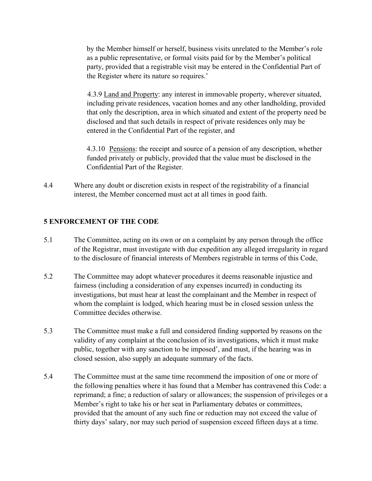by the Member himself or herself, business visits unrelated to the Member's role as a public representative, or formal visits paid for by the Member's political party, provided that a registrable visit may be entered in the Confidential Part of the Register where its nature so requires.'

 4.3.9 Land and Property: any interest in immovable property, wherever situated, including private residences, vacation homes and any other landholding, provided that only the description, area in which situated and extent of the property need be disclosed and that such details in respect of private residences only may be entered in the Confidential Part of the register, and

 4.3.10 Pensions: the receipt and source of a pension of any description, whether funded privately or publicly, provided that the value must be disclosed in the Confidential Part of the Register.

4.4 Where any doubt or discretion exists in respect of the registrability of a financial interest, the Member concerned must act at all times in good faith.

## **5 ENFORCEMENT OF THE CODE**

- 5.1 The Committee, acting on its own or on a complaint by any person through the office of the Registrar, must investigate with due expedition any alleged irregularity in regard to the disclosure of financial interests of Members registrable in terms of this Code,
- 5.2 The Committee may adopt whatever procedures it deems reasonable injustice and fairness (including a consideration of any expenses incurred) in conducting its investigations, but must hear at least the complainant and the Member in respect of whom the complaint is lodged, which hearing must be in closed session unless the Committee decides otherwise.
- 5.3 The Committee must make a full and considered finding supported by reasons on the validity of any complaint at the conclusion of its investigations, which it must make public, together with any sanction to be imposed', and must, if the hearing was in closed session, also supply an adequate summary of the facts.
- 5.4 The Committee must at the same time recommend the imposition of one or more of the following penalties where it has found that a Member has contravened this Code: a reprimand; a fine; a reduction of salary or allowances; the suspension of privileges or a Member's right to take his or her seat in Parliamentary debates or committees, provided that the amount of any such fine or reduction may not exceed the value of thirty days' salary, nor may such period of suspension exceed fifteen days at a time.